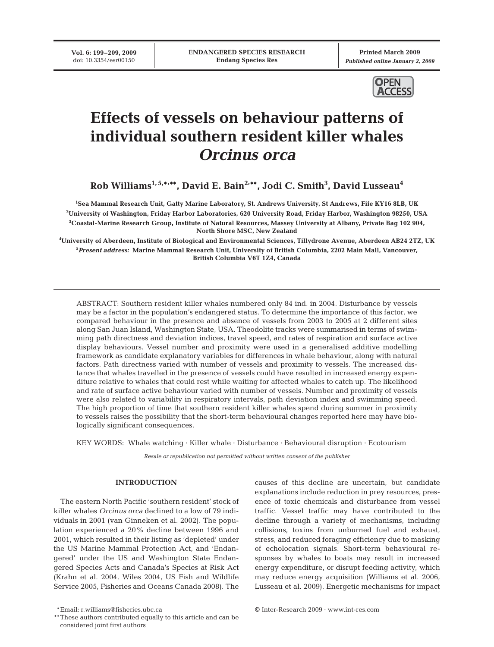**Vol. 6: 199–209, 2009** doi: 10.3354/esr00150

**Printed March 2009** *Published online January 2, 2009*



# **Effects of vessels on behaviour patterns of individual southern resident killer whales**  *Orcinus orca*

**Rob Williams1, 5,\*, \*\*, David E. Bain2, \*\*, Jodi C. Smith3 , David Lusseau4**

 **Sea Mammal Research Unit, Gatty Marine Laboratory, St. Andrews University, St Andrews, Fife KY16 8LB, UK University of Washington, Friday Harbor Laboratories, 620 University Road, Friday Harbor, Washington 98250, USA Coastal-Marine Research Group, Institute of Natural Resources, Massey University at Albany, Private Bag 102 904, North Shore MSC, New Zealand**

**4 University of Aberdeen, Institute of Biological and Environmental Sciences, Tillydrone Avenue, Aberdeen AB24 2TZ, UK 5** *Present address:* **Marine Mammal Research Unit, University of British Columbia, 2202 Main Mall, Vancouver, British Columbia V6T 1Z4, Canada**

ABSTRACT: Southern resident killer whales numbered only 84 ind. in 2004. Disturbance by vessels may be a factor in the population's endangered status. To determine the importance of this factor, we compared behaviour in the presence and absence of vessels from 2003 to 2005 at 2 different sites along San Juan Island, Washington State, USA. Theodolite tracks were summarised in terms of swimming path directness and deviation indices, travel speed, and rates of respiration and surface active display behaviours. Vessel number and proximity were used in a generalised additive modelling framework as candidate explanatory variables for differences in whale behaviour, along with natural factors. Path directness varied with number of vessels and proximity to vessels. The increased distance that whales travelled in the presence of vessels could have resulted in increased energy expenditure relative to whales that could rest while waiting for affected whales to catch up. The likelihood and rate of surface active behaviour varied with number of vessels. Number and proximity of vessels were also related to variability in respiratory intervals, path deviation index and swimming speed. The high proportion of time that southern resident killer whales spend during summer in proximity to vessels raises the possibility that the short-term behavioural changes reported here may have biologically significant consequences.

KEY WORDS: Whale watching · Killer whale · Disturbance · Behavioural disruption · Ecotourism

*Resale or republication not permitted without written consent of the publisher*

# **INTRODUCTION**

The eastern North Pacific 'southern resident' stock of killer whales *Orcinus orca* declined to a low of 79 individuals in 2001 (van Ginneken et al. 2002). The population experienced a 20% decline between 1996 and 2001, which resulted in their listing as 'depleted' under the US Marine Mammal Protection Act, and 'Endangered' under the US and Washington State Endangered Species Acts and Canada's Species at Risk Act (Krahn et al. 2004, Wiles 2004, US Fish and Wildlife Service 2005, Fisheries and Oceans Canada 2008). The

causes of this decline are uncertain, but candidate explanations include reduction in prey resources, presence of toxic chemicals and disturbance from vessel traffic. Vessel traffic may have contributed to the decline through a variety of mechanisms, including collisions, toxins from unburned fuel and exhaust, stress, and reduced foraging efficiency due to masking of echolocation signals. Short-term behavioural responses by whales to boats may result in increased energy expenditure, or disrupt feeding activity, which may reduce energy acquisition (Williams et al. 2006, Lusseau et al. 2009). Energetic mechanisms for impact

\*\*Email: r.williams@fisheries.ubc.ca © Inter-Research 2009 · www.int-res.com

<sup>\*\*</sup>These authors contributed equally to this article and can be considered joint first authors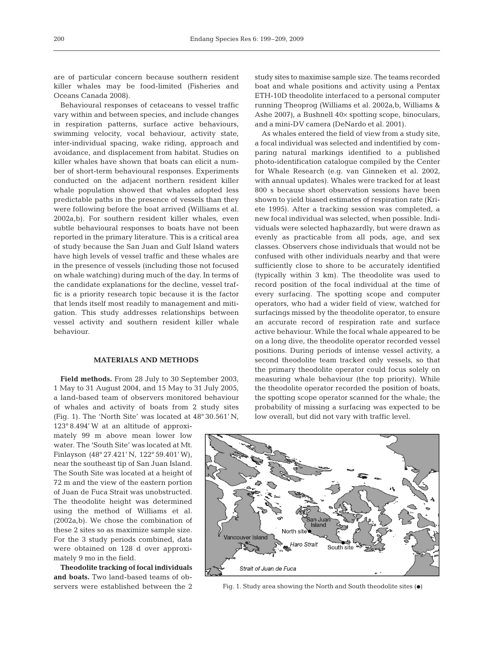are of particular concern because southern resident killer whales may be food-limited (Fisheries and Oceans Canada 2008).

Behavioural responses of cetaceans to vessel traffic vary within and between species, and include changes in respiration patterns, surface active behaviours, swimming velocity, vocal behaviour, activity state, inter-individual spacing, wake riding, approach and avoidance, and displacement from habitat. Studies on killer whales have shown that boats can elicit a number of short-term behavioural responses. Experiments conducted on the adjacent northern resident killer whale population showed that whales adopted less predictable paths in the presence of vessels than they were following before the boat arrived (Williams et al. 2002a,b). For southern resident killer whales, even subtle behavioural responses to boats have not been reported in the primary literature. This is a critical area of study because the San Juan and Gulf Island waters have high levels of vessel traffic and these whales are in the presence of vessels (including those not focused on whale watching) during much of the day. In terms of the candidate explanations for the decline, vessel traffic is a priority research topic because it is the factor that lends itself most readily to management and mitigation. This study addresses relationships between vessel activity and southern resident killer whale behaviour.

## **MATERIALS AND METHODS**

**Field methods.** From 28 July to 30 September 2003, 1 May to 31 August 2004, and 15 May to 31 July 2005, a land-based team of observers monitored behaviour of whales and activity of boats from 2 study sites (Fig. 1). The 'North Site' was located at 48° 30.561' N,

123° 8.494' W at an altitude of approximately 99 m above mean lower low water. The 'South Site' was located at Mt. Finlayson (48° 27.421' N, 122° 59.401' W), near the southeast tip of San Juan Island. The South Site was located at a height of 72 m and the view of the eastern portion of Juan de Fuca Strait was unobstructed. The theodolite height was determined using the method of Williams et al. (2002a,b). We chose the combination of these 2 sites so as maximize sample size. For the 3 study periods combined, data were obtained on 128 d over approximately 9 mo in the field.

**Theodolite tracking of focal individuals and boats.** Two land-based teams of observers were established between the 2 study sites to maximise sample size. The teams recorded boat and whale positions and activity using a Pentax ETH-10D theodolite interfaced to a personal computer running Theoprog (Williams et al. 2002a,b, Williams & Ashe 2007), a Bushnell 40× spotting scope, binoculars, and a mini-DV camera (DeNardo et al. 2001).

As whales entered the field of view from a study site, a focal individual was selected and indentified by comparing natural markings identified to a published photo-identification catalogue compiled by the Center for Whale Research (e.g. van Ginneken et al. 2002, with annual updates). Whales were tracked for at least 800 s because short observation sessions have been shown to yield biased estimates of respiration rate (Kriete 1995). After a tracking session was completed, a new focal individual was selected, when possible. Individuals were selected haphazardly, but were drawn as evenly as practicable from all pods, age, and sex classes. Observers chose individuals that would not be confused with other individuals nearby and that were sufficiently close to shore to be accurately identified (typically within 3 km). The theodolite was used to record position of the focal individual at the time of every surfacing. The spotting scope and computer operators, who had a wider field of view, watched for surfacings missed by the theodolite operator, to ensure an accurate record of respiration rate and surface active behaviour. While the focal whale appeared to be on a long dive, the theodolite operator recorded vessel positions. During periods of intense vessel activity, a second theodolite team tracked only vessels, so that the primary theodolite operator could focus solely on measuring whale behaviour (the top priority). While the theodolite operator recorded the position of boats, the spotting scope operator scanned for the whale; the probability of missing a surfacing was expected to be low overall, but did not vary with traffic level.



Fig. 1. Study area showing the North and South theodolite sites  $(\bullet)$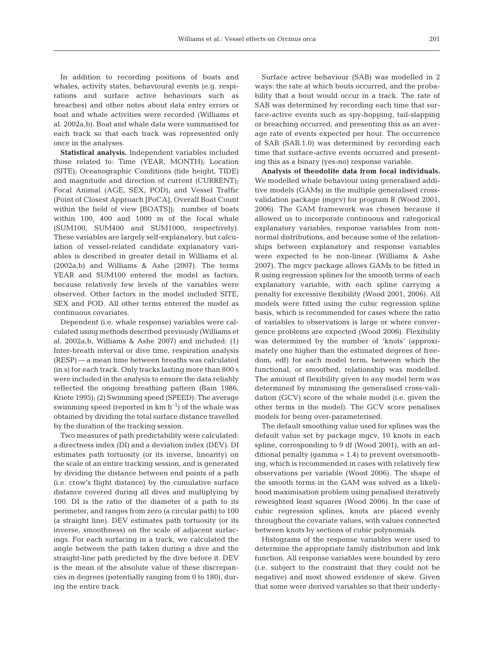In addition to recording positions of boats and whales, activity states, behavioural events (e.g. respirations and surface active behaviours such as breaches) and other notes about data entry errors or boat and whale activities were recorded (Williams et al. 2002a,b). Boat and whale data were summarised for each track so that each track was represented only once in the analyses.

**Statistical analysis.** Independent variables included those related to: Time (YEAR, MONTH); Location (SITE); Oceanographic Conditions (tide height, TIDE) and magnitude and direction of current (CURRENT); Focal Animal (AGE, SEX, POD); and Vessel Traffic (Point of Closest Approach [PoCA], Overall Boat Count within the field of view [BOATS]); number of boats within 100, 400 and 1000 m of the focal whale (SUM100, SUM400 and SUM1000, respectively). These variables are largely self-explanatory, but calculation of vessel-related candidate explanatory variables is described in greater detail in Williams et al. (2002a,b) and Williams & Ashe (2007). The terms YEAR and SUM100 entered the model as factors, because relatively few levels of the variables were observed. Other factors in the model included SITE, SEX and POD. All other terms entered the model as continuous covariates.

Dependent (i.e. whale response) variables were calculated using methods described previously (Williams et al. 2002a,b, Williams & Ashe 2007) and included: (1) Inter-breath interval or dive time, respiration analysis (RESP) — a mean time between breaths was calculated (in s) for each track. Only tracks lasting more than 800 s were included in the analysis to ensure the data reliably reflected the ongoing breathing pattern (Bain 1986, Kriete 1995); (2) Swimming speed (SPEED): The average swimming speed (reported in  $km h^{-1}$ ) of the whale was obtained by dividing the total surface distance travelled by the duration of the tracking session.

Two measures of path predictability were calculated: a directness index (DI) and a deviation index (DEV). DI estimates path tortuosity (or its inverse, linearity) on the scale of an entire tracking session, and is generated by dividing the distance between end points of a path (i.e. crow's flight distance) by the cumulative surface distance covered during all dives and multiplying by 100. DI is the ratio of the diameter of a path to its perimeter, and ranges from zero (a circular path) to 100 (a straight line). DEV estimates path tortuosity (or its inverse, smoothness) on the scale of adjacent surfacings. For each surfacing in a track, we calculated the angle between the path taken during a dive and the straight-line path predicted by the dive before it. DEV is the mean of the absolute value of these discrepancies in degrees (potentially ranging from 0 to 180), during the entire track.

Surface active behaviour (SAB) was modelled in 2 ways: the rate at which bouts occurred, and the probability that a bout would occur in a track. The rate of SAB was determined by recording each time that surface-active events such as spy-hopping, tail-slapping or breaching occurred, and presenting this as an average rate of events expected per hour. The occurrence of SAB (SAB.1.0) was determined by recording each time that surface-active events occurred and presenting this as a binary (yes-no) response variable.

**Analysis of theodolite data from focal individuals.** We modelled whale behaviour using generalised additive models (GAMs) in the multiple generalised crossvalidation package (mgcv) for program R (Wood 2001, 2006). The GAM framework was chosen because it allowed us to incorporate continuous and categorical explanatory variables, response variables from nonnormal distributions, and because some of the relationships between explanatory and response variables were expected to be non-linear (Williams & Ashe 2007). The mgcv package allows GAMs to be fitted in R using regression splines for the smooth terms of each explanatory variable, with each spline carrying a penalty for excessive flexibility (Wood 2001, 2006). All models were fitted using the cubic regression spline basis, which is recommended for cases where the ratio of variables to observations is large or where convergence problems are expected (Wood 2006). Flexibility was determined by the number of 'knots' (approximately one higher than the estimated degrees of freedom, edf) for each model term, between which the functional, or smoothed, relationship was modelled. The amount of flexibility given to any model term was determined by minimising the generalised cross-validation (GCV) score of the whole model (i.e. given the other terms in the model). The GCV score penalises models for being over-parameterised.

The default smoothing value used for splines was the default value set by package mgcv, 10 knots in each spline, corresponding to 9 df (Wood 2001), with an additional penalty (gamma  $= 1.4$ ) to prevent oversmoothing, which is recommended in cases with relatively few observations per variable (Wood 2006). The shape of the smooth terms in the GAM was solved as a likelihood maximisation problem using penalised iteratively reweighted least squares (Wood 2006). In the case of cubic regression splines, knots are placed evenly throughout the covariate values, with values connected between knots by sections of cubic polynomials.

Histograms of the response variables were used to determine the appropriate family distribution and link function. All response variables were bounded by zero (i.e. subject to the constraint that they could not be negative) and most showed evidence of skew. Given that some were derived variables so that their underly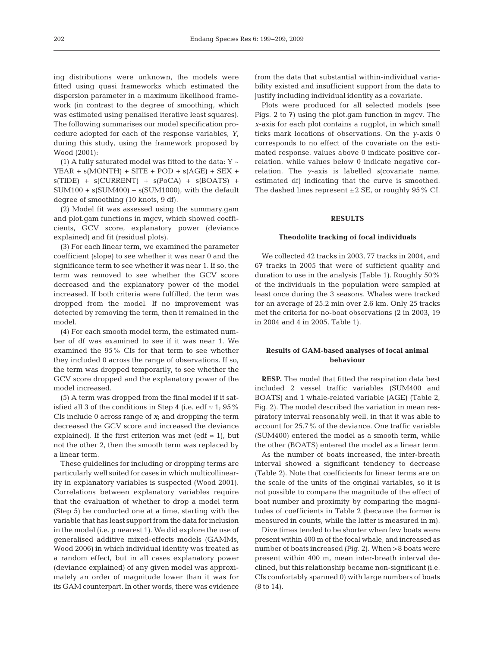ing distributions were unknown, the models were fitted using quasi frameworks which estimated the dispersion parameter in a maximum likelihood framework (in contrast to the degree of smoothing, which was estimated using penalised iterative least squares). The following summarises our model specification procedure adopted for each of the response variables, *Y*, during this study, using the framework proposed by Wood (2001):

(1) A fully saturated model was fitted to the data:  $Y \sim$  $YEAR + s(MONTH) + SITE + POD + s(AGE) + SEX +$  $s(TIDE) + s(CURRENT) + s(PoCA) + s(BOATS) +$  $SUM100 + s(SUM400) + s(SUM1000)$ , with the default degree of smoothing (10 knots, 9 df).

(2) Model fit was assessed using the summary.gam and plot.gam functions in mgcv, which showed coefficients, GCV score, explanatory power (deviance explained) and fit (residual plots).

(3) For each linear term, we examined the parameter coefficient (slope) to see whether it was near 0 and the significance term to see whether it was near 1. If so, the term was removed to see whether the GCV score decreased and the explanatory power of the model increased. If both criteria were fulfilled, the term was dropped from the model. If no improvement was detected by removing the term, then it remained in the model.

(4) For each smooth model term, the estimated number of df was examined to see if it was near 1. We examined the 95% CIs for that term to see whether they included 0 across the range of observations. If so, the term was dropped temporarily, to see whether the GCV score dropped and the explanatory power of the model increased.

(5) A term was dropped from the final model if it satisfied all 3 of the conditions in Step 4 (i.e. edf  $\approx$  1; 95% CIs include 0 across range of *x*; and dropping the term decreased the GCV score and increased the deviance explained). If the first criterion was met (edf  $\approx$  1), but not the other 2, then the smooth term was replaced by a linear term.

These guidelines for including or dropping terms are particularly well suited for cases in which multicollinearity in explanatory variables is suspected (Wood 2001). Correlations between explanatory variables require that the evaluation of whether to drop a model term (Step 5) be conducted one at a time, starting with the variable that has least support from the data for inclusion in the model (i.e. p nearest 1). We did explore the use of generalised additive mixed-effects models (GAMMs, Wood 2006) in which individual identity was treated as a random effect, but in all cases explanatory power (deviance explained) of any given model was approximately an order of magnitude lower than it was for its GAM counterpart. In other words, there was evidence

from the data that substantial within-individual variability existed and insufficient support from the data to justify including individual identity as a covariate.

Plots were produced for all selected models (see Figs. 2 to 7) using the plot.gam function in mgcv. The *x*-axis for each plot contains a rugplot, in which small ticks mark locations of observations. On the *y*-axis 0 corresponds to no effect of the covariate on the estimated response, values above 0 indicate positive correlation, while values below 0 indicate negative correlation. The *y*-axis is labelled *s*(covariate name, estimated df) indicating that the curve is smoothed. The dashed lines represent  $\pm 2$  SE, or roughly 95% CI.

### **RESULTS**

#### **Theodolite tracking of focal individuals**

We collected 42 tracks in 2003, 77 tracks in 2004, and 67 tracks in 2005 that were of sufficient quality and duration to use in the analysis (Table 1). Roughly 50% of the individuals in the population were sampled at least once during the 3 seasons. Whales were tracked for an average of 25.2 min over 2.6 km. Only 25 tracks met the criteria for no-boat observations (2 in 2003, 19 in 2004 and 4 in 2005, Table 1).

## **Results of GAM-based analyses of focal animal behaviour**

**RESP.** The model that fitted the respiration data best included 2 vessel traffic variables (SUM400 and BOATS) and 1 whale-related variable (AGE) (Table 2, Fig. 2). The model described the variation in mean respiratory interval reasonably well, in that it was able to account for 25.7% of the deviance. One traffic variable (SUM400) entered the model as a smooth term, while the other (BOATS) entered the model as a linear term.

As the number of boats increased, the inter-breath interval showed a significant tendency to decrease (Table 2). Note that coefficients for linear terms are on the scale of the units of the original variables, so it is not possible to compare the magnitude of the effect of boat number and proximity by comparing the magnitudes of coefficients in Table 2 (because the former is measured in counts, while the latter is measured in m).

Dive times tended to be shorter when few boats were present within 400 m of the focal whale, and increased as number of boats increased (Fig. 2). When >8 boats were present within 400 m, mean inter-breath interval declined, but this relationship became non-significant (i.e. CIs comfortably spanned 0) with large numbers of boats (8 to 14).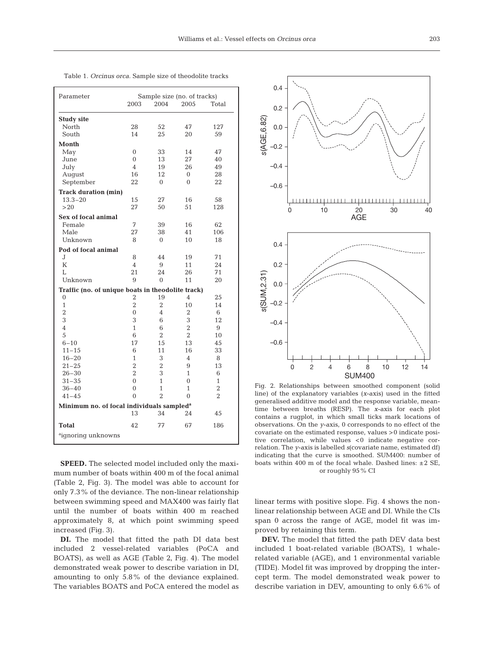| Parameter                                             | Sample size (no. of tracks) |                |                |                |  |  |  |  |  |  |  |
|-------------------------------------------------------|-----------------------------|----------------|----------------|----------------|--|--|--|--|--|--|--|
|                                                       | 2003                        | 2004           | 2005           | Total          |  |  |  |  |  |  |  |
| <b>Study site</b>                                     |                             |                |                |                |  |  |  |  |  |  |  |
| North                                                 | 28                          | 52             | 47             | 127            |  |  |  |  |  |  |  |
| South                                                 | 14                          | 25             | 20             | 59             |  |  |  |  |  |  |  |
| Month                                                 |                             |                |                |                |  |  |  |  |  |  |  |
| May                                                   | $\overline{0}$              | 33             | 14             | 47             |  |  |  |  |  |  |  |
| June                                                  | $\overline{0}$              | 13             | 27             | 40             |  |  |  |  |  |  |  |
| July                                                  | 4                           | 19             | 26             | 49             |  |  |  |  |  |  |  |
| August                                                | 16                          | 12             | 0              | 28             |  |  |  |  |  |  |  |
| September                                             | 22                          | $\Omega$       | $\Omega$       | 22             |  |  |  |  |  |  |  |
| <b>Track duration (min)</b>                           |                             |                |                |                |  |  |  |  |  |  |  |
| $13.3 - 20$                                           | 15                          | 27             | 16             | 58             |  |  |  |  |  |  |  |
| >20                                                   | 27                          | 50             | 51             | 128            |  |  |  |  |  |  |  |
| Sex of focal animal                                   |                             |                |                |                |  |  |  |  |  |  |  |
| Female                                                | 7                           | 39             | 16             | 62             |  |  |  |  |  |  |  |
| Male                                                  | 27                          | 38             | 41             | 106            |  |  |  |  |  |  |  |
| Unknown                                               | 8                           | $\Omega$       | 10             | 18             |  |  |  |  |  |  |  |
| Pod of focal animal                                   |                             |                |                |                |  |  |  |  |  |  |  |
| J                                                     | 8                           | 44             | 19             | 71             |  |  |  |  |  |  |  |
| K                                                     | 4                           | 9              | 11             | 24             |  |  |  |  |  |  |  |
| T.                                                    | 21                          | 24             | 26             | 71             |  |  |  |  |  |  |  |
| Unknown                                               | 9                           | $\overline{0}$ | 11             | 20             |  |  |  |  |  |  |  |
| Traffic (no. of unique boats in theodolite track)     |                             |                |                |                |  |  |  |  |  |  |  |
| 0                                                     | 2                           | 19             | 4              | 25             |  |  |  |  |  |  |  |
| $\mathbf{1}$                                          | $\overline{2}$              | $\overline{2}$ | 10             | 14             |  |  |  |  |  |  |  |
| $\overline{2}$                                        | $\overline{0}$              | 4              | 2              | 6              |  |  |  |  |  |  |  |
| 3                                                     | 3                           | 6              | 3              | 12             |  |  |  |  |  |  |  |
| 4                                                     | 1                           | 6              | $\overline{2}$ | 9              |  |  |  |  |  |  |  |
| 5                                                     | 6                           | $\overline{2}$ | $\overline{2}$ | 10             |  |  |  |  |  |  |  |
| $6 - 10$                                              | 17                          | 15             | 13             | 45             |  |  |  |  |  |  |  |
| $11 - 15$                                             | 6                           | 11             | 16             | 33             |  |  |  |  |  |  |  |
| $16 - 20$                                             | $\mathbf{1}$                | 3              | $\overline{4}$ | 8              |  |  |  |  |  |  |  |
| $21 - 25$                                             | $\overline{2}$              | 2              | 9              | 13             |  |  |  |  |  |  |  |
| $26 - 30$                                             | $\overline{2}$              | 3              | 1              | 6              |  |  |  |  |  |  |  |
| $31 - 35$                                             | $\overline{0}$              | 1              | $\theta$       | $\mathbf{1}$   |  |  |  |  |  |  |  |
| $36 - 40$                                             | $\theta$                    | 1              | 1              | $\overline{2}$ |  |  |  |  |  |  |  |
| $41 - 45$                                             | $\theta$                    | $\overline{2}$ | $\theta$       | $\overline{2}$ |  |  |  |  |  |  |  |
| Minimum no. of focal individuals sampled <sup>a</sup> |                             |                |                |                |  |  |  |  |  |  |  |
|                                                       | 13                          | 34             | 24             | 45             |  |  |  |  |  |  |  |
| <b>Total</b>                                          | 42                          | 77             | 67             | 186            |  |  |  |  |  |  |  |
| <sup>a</sup> ignoring unknowns                        |                             |                |                |                |  |  |  |  |  |  |  |

Table 1. *Orcinus orca.* Sample size of theodolite tracks

**SPEED.** The selected model included only the maximum number of boats within 400 m of the focal animal (Table 2, Fig. 3). The model was able to account for only 7.3% of the deviance. The non-linear relationship between swimming speed and MAX400 was fairly flat until the number of boats within 400 m reached approximately 8, at which point swimming speed increased (Fig. 3).

**DI.** The model that fitted the path DI data best included 2 vessel-related variables (PoCA and BOATS), as well as AGE (Table 2, Fig. 4). The model demonstrated weak power to describe variation in DI, amounting to only 5.8% of the deviance explained. The variables BOATS and PoCA entered the model as



Fig. 2. Relationships between smoothed component (solid line) of the explanatory variables (*x*-axis) used in the fitted generalised additive model and the response variable, meantime between breaths (RESP). The *x*-axis for each plot contains a rugplot, in which small ticks mark locations of observations. On the *y*-axis, 0 corresponds to no effect of the covariate on the estimated response, values >0 indicate positive correlation, while values <0 indicate negative correlation. The *y*-axis is labelled *s*(covariate name, estimated df) indicating that the curve is smoothed. SUM400: number of boats within 400 m of the focal whale. Dashed lines: ±2 SE, or roughly 95% CI

linear terms with positive slope. Fig. 4 shows the nonlinear relationship between AGE and DI. While the CIs span 0 across the range of AGE, model fit was improved by retaining this term.

**DEV.** The model that fitted the path DEV data best included 1 boat-related variable (BOATS), 1 whalerelated variable (AGE), and 1 environmental variable (TIDE). Model fit was improved by dropping the intercept term. The model demonstrated weak power to describe variation in DEV, amounting to only 6.6% of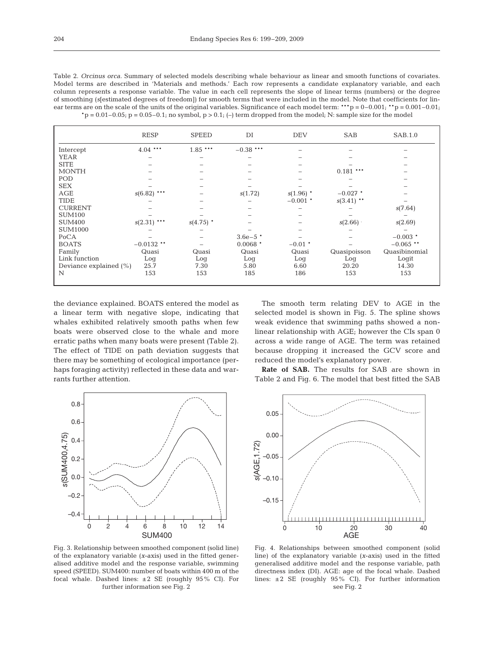| Table 2. Orcinus orca. Summary of selected models describing whale behaviour as linear and smooth functions of covariates.                  |
|---------------------------------------------------------------------------------------------------------------------------------------------|
| Model terms are described in 'Materials and methods.' Each row represents a candidate explanatory variable, and each                        |
| column represents a response variable. The value in each cell represents the slope of linear terms (numbers) or the degree                  |
| of smoothing (slestimated degrees of freedom)) for smooth terms that were included in the model. Note that coefficients for lin-            |
| ear terms are on the scale of the units of the original variables. Significance of each model term: ***p = $0-0.001$ ; **p = $0.001-0.01$ ; |
| $p = 0.01-0.05$ ; p = 0.05-0.1; no symbol, p > 0.1; (-) term dropped from the model; N; sample size for the model                           |

|                        | <b>RESP</b>   | <b>SPEED</b> | DI          | <b>DEV</b>  | <b>SAB</b>   | SAB.1.0       |
|------------------------|---------------|--------------|-------------|-------------|--------------|---------------|
| Intercept              | $4.04$ ***    | $1.85$ ***   | $-0.38$ *** |             |              |               |
| <b>YEAR</b>            |               |              |             |             |              |               |
| <b>SITE</b>            |               |              |             |             |              |               |
| <b>MONTH</b>           |               |              |             |             | $0.181$ ***  |               |
| POD                    |               |              |             |             |              |               |
| <b>SEX</b>             |               |              |             |             |              |               |
| AGE                    | $s(6.82)$ *** |              | s(1.72)     | $s(1.96)$ * | $-0.027$ *   |               |
| <b>TIDE</b>            |               |              |             | $-0.001$ *  | $s(3.41)$ ** |               |
| <b>CURRENT</b>         |               |              |             |             |              | s(7.64)       |
| <b>SUM100</b>          |               |              |             |             |              |               |
| <b>SUM400</b>          | $s(2.31)$ *** | $s(4.75)$ *  |             |             | s(2.66)      | s(2.69)       |
| <b>SUM1000</b>         |               |              |             |             |              |               |
| PoCA                   |               |              | $3.6e-5$ *  |             |              | $-0.003$ *    |
| <b>BOATS</b>           | $-0.0132$ **  |              | $0.0068$ *  | $-0.01$ *   |              | $-0.065$ **   |
| Family                 | Quasi         | Quasi        | Quasi       | Quasi       | Quasipoisson | Quasibinomial |
| Link function          | Log           | Log          | Log         | Log         | Log          | Logit         |
| Deviance explained (%) | 25.7          | 7.30         | 5.80        | 6.60        | 20.20        | 14.30         |
| N                      | 153           | 153          | 185         | 186         | 153          | 153           |
|                        |               |              |             |             |              |               |

the deviance explained. BOATS entered the model as a linear term with negative slope, indicating that whales exhibited relatively smooth paths when few boats were observed close to the whale and more erratic paths when many boats were present (Table 2). The effect of TIDE on path deviation suggests that there may be something of ecological importance (perhaps foraging activity) reflected in these data and warrants further attention.



Fig. 3. Relationship between smoothed component (solid line) of the explanatory variable (*x*-axis) used in the fitted generalised additive model and the response variable, swimming speed (SPEED). SUM400: number of boats within 400 m of the focal whale. Dashed lines:  $\pm 2$  SE (roughly 95% CI). For further information see Fig. 2

The smooth term relating DEV to AGE in the selected model is shown in Fig. 5. The spline shows weak evidence that swimming paths showed a nonlinear relationship with AGE; however the CIs span 0 across a wide range of AGE. The term was retained because dropping it increased the GCV score and reduced the model's explanatory power.

**Rate of SAB.** The results for SAB are shown in Table 2 and Fig. 6. The model that best fitted the SAB



Fig. 4. Relationships between smoothed component (solid line) of the explanatory variable (*x*-axis) used in the fitted generalised additive model and the response variable, path directness index (DI). AGE: age of the focal whale. Dashed lines: ±2 SE (roughly 95% CI). For further information see Fig. 2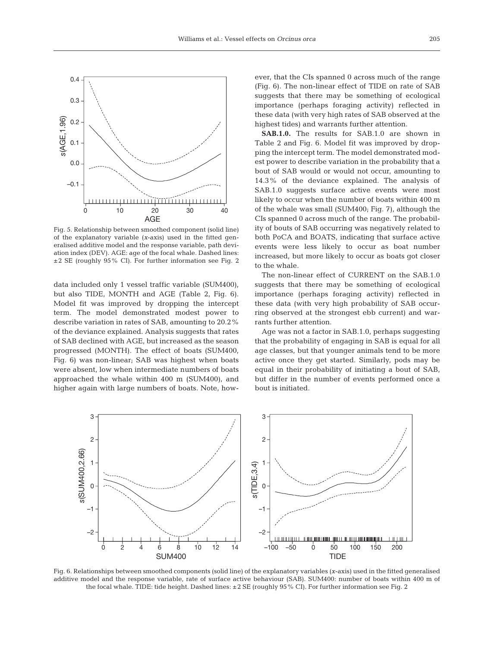

Fig. 5. Relationship between smoothed component (solid line) of the explanatory variable (*x*-axis) used in the fitted generalised additive model and the response variable, path deviation index (DEV). AGE: age of the focal whale. Dashed lines: ±2 SE (roughly 95% CI). For further information see Fig. 2

data included only 1 vessel traffic variable (SUM400), but also TIDE, MONTH and AGE (Table 2, Fig. 6). Model fit was improved by dropping the intercept term. The model demonstrated modest power to describe variation in rates of SAB, amounting to 20.2% of the deviance explained. Analysis suggests that rates of SAB declined with AGE, but increased as the season progressed (MONTH). The effect of boats (SUM400, Fig. 6) was non-linear; SAB was highest when boats were absent, low when intermediate numbers of boats approached the whale within 400 m (SUM400), and higher again with large numbers of boats. Note, however, that the CIs spanned 0 across much of the range (Fig. 6). The non-linear effect of TIDE on rate of SAB suggests that there may be something of ecological importance (perhaps foraging activity) reflected in these data (with very high rates of SAB observed at the highest tides) and warrants further attention.

**SAB.1.0.** The results for SAB.1.0 are shown in Table 2 and Fig. 6. Model fit was improved by dropping the intercept term. The model demonstrated modest power to describe variation in the probability that a bout of SAB would or would not occur, amounting to 14.3% of the deviance explained. The analysis of SAB.1.0 suggests surface active events were most likely to occur when the number of boats within 400 m of the whale was small (SUM400; Fig. 7), although the CIs spanned 0 across much of the range. The probability of bouts of SAB occurring was negatively related to both PoCA and BOATS, indicating that surface active events were less likely to occur as boat number increased, but more likely to occur as boats got closer to the whale.

The non-linear effect of CURRENT on the SAB.1.0 suggests that there may be something of ecological importance (perhaps foraging activity) reflected in these data (with very high probability of SAB occurring observed at the strongest ebb current) and warrants further attention.

Age was not a factor in SAB.1.0, perhaps suggesting that the probability of engaging in SAB is equal for all age classes, but that younger animals tend to be more active once they get started. Similarly, pods may be equal in their probability of initiating a bout of SAB, but differ in the number of events performed once a bout is initiated.



Fig. 6. Relationships between smoothed components (solid line) of the explanatory variables (*x*-axis) used in the fitted generalised additive model and the response variable, rate of surface active behaviour (SAB). SUM400: number of boats within 400 m of the focal whale. TIDE: tide height. Dashed lines: ±2 SE (roughly 95% CI). For further information see Fig. 2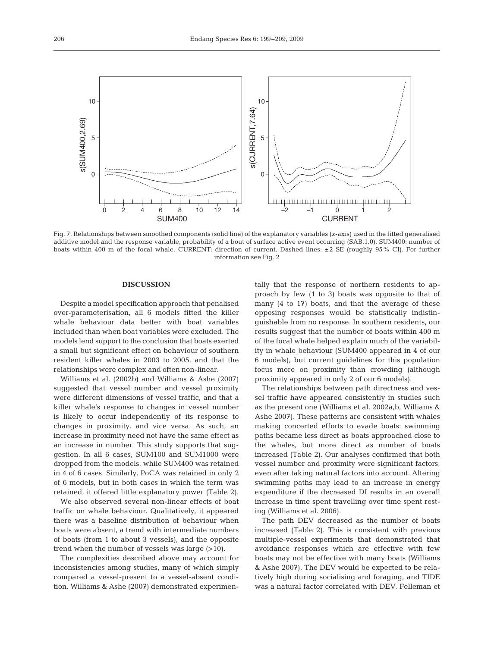

Fig. 7. Relationships between smoothed components (solid line) of the explanatory variables (*x*-axis) used in the fitted generalised additive model and the response variable, probability of a bout of surface active event occurring (SAB.1.0). SUM400: number of boats within 400 m of the focal whale. CURRENT: direction of current. Dashed lines: ±2 SE (roughly 95% CI). For further information see Fig. 2

## **DISCUSSION**

Despite a model specification approach that penalised over-parameterisation, all 6 models fitted the killer whale behaviour data better with boat variables included than when boat variables were excluded. The models lend support to the conclusion that boats exerted a small but significant effect on behaviour of southern resident killer whales in 2003 to 2005, and that the relationships were complex and often non-linear.

Williams et al. (2002b) and Williams & Ashe (2007) suggested that vessel number and vessel proximity were different dimensions of vessel traffic, and that a killer whale's response to changes in vessel number is likely to occur independently of its response to changes in proximity, and vice versa. As such, an increase in proximity need not have the same effect as an increase in number. This study supports that suggestion. In all 6 cases, SUM100 and SUM1000 were dropped from the models, while SUM400 was retained in 4 of 6 cases. Similarly, PoCA was retained in only 2 of 6 models, but in both cases in which the term was retained, it offered little explanatory power (Table 2).

We also observed several non-linear effects of boat traffic on whale behaviour. Qualitatively, it appeared there was a baseline distribution of behaviour when boats were absent, a trend with intermediate numbers of boats (from 1 to about 3 vessels), and the opposite trend when the number of vessels was large (>10).

The complexities described above may account for inconsistencies among studies, many of which simply compared a vessel-present to a vessel-absent condition. Williams & Ashe (2007) demonstrated experimentally that the response of northern residents to approach by few (1 to 3) boats was opposite to that of many (4 to 17) boats, and that the average of these opposing responses would be statistically indistinguishable from no response. In southern residents, our results suggest that the number of boats within 400 m of the focal whale helped explain much of the variability in whale behaviour (SUM400 appeared in 4 of our 6 models), but current guidelines for this population focus more on proximity than crowding (although proximity appeared in only 2 of our 6 models).

The relationships between path directness and vessel traffic have appeared consistently in studies such as the present one (Williams et al. 2002a,b, Williams & Ashe 2007). These patterns are consistent with whales making concerted efforts to evade boats: swimming paths became less direct as boats approached close to the whales, but more direct as number of boats increased (Table 2). Our analyses confirmed that both vessel number and proximity were significant factors, even after taking natural factors into account. Altering swimming paths may lead to an increase in energy expenditure if the decreased DI results in an overall increase in time spent travelling over time spent resting (Williams et al. 2006).

The path DEV decreased as the number of boats increased (Table 2). This is consistent with previous multiple-vessel experiments that demonstrated that avoidance responses which are effective with few boats may not be effective with many boats (Williams & Ashe 2007). The DEV would be expected to be relatively high during socialising and foraging, and TIDE was a natural factor correlated with DEV. Felleman et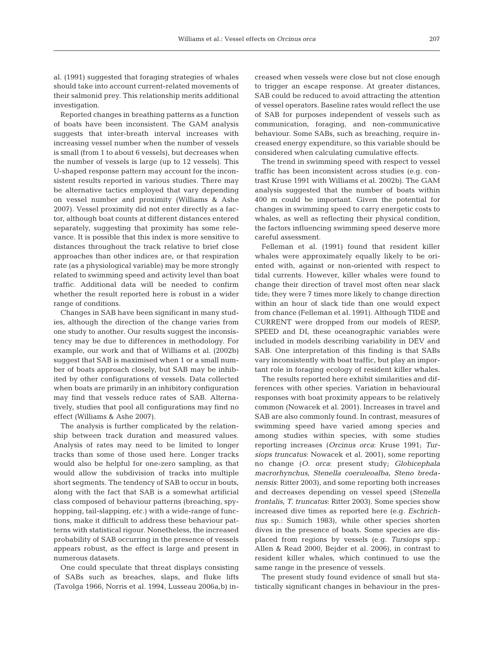al. (1991) suggested that foraging strategies of whales should take into account current-related movements of their salmonid prey. This relationship merits additional investigation.

Reported changes in breathing patterns as a function of boats have been inconsistent. The GAM analysis suggests that inter-breath interval increases with increasing vessel number when the number of vessels is small (from 1 to about 6 vessels), but decreases when the number of vessels is large (up to 12 vessels). This U-shaped response pattern may account for the inconsistent results reported in various studies. There may be alternative tactics employed that vary depending on vessel number and proximity (Williams & Ashe 2007). Vessel proximity did not enter directly as a factor, although boat counts at different distances entered separately, suggesting that proximity has some relevance. It is possible that this index is more sensitive to distances throughout the track relative to brief close approaches than other indices are, or that respiration rate (as a physiological variable) may be more strongly related to swimming speed and activity level than boat traffic. Additional data will be needed to confirm whether the result reported here is robust in a wider range of conditions.

Changes in SAB have been significant in many studies, although the direction of the change varies from one study to another. Our results suggest the inconsistency may be due to differences in methodology. For example, our work and that of Williams et al. (2002b) suggest that SAB is maximised when 1 or a small number of boats approach closely, but SAB may be inhibited by other configurations of vessels. Data collected when boats are primarily in an inhibitory configuration may find that vessels reduce rates of SAB. Alternatively, studies that pool all configurations may find no effect (Williams & Ashe 2007).

The analysis is further complicated by the relationship between track duration and measured values. Analysis of rates may need to be limited to longer tracks than some of those used here. Longer tracks would also be helpful for one-zero sampling, as that would allow the subdivision of tracks into multiple short segments. The tendency of SAB to occur in bouts, along with the fact that SAB is a somewhat artificial class composed of behaviour patterns (breaching, spyhopping, tail-slapping, etc.) with a wide-range of functions, make it difficult to address these behaviour patterns with statistical rigour. Nonetheless, the increased probability of SAB occurring in the presence of vessels appears robust, as the effect is large and present in numerous datasets.

One could speculate that threat displays consisting of SABs such as breaches, slaps, and fluke lifts (Tavolga 1966, Norris et al. 1994, Lusseau 2006a,b) increased when vessels were close but not close enough to trigger an escape response. At greater distances, SAB could be reduced to avoid attracting the attention of vessel operators. Baseline rates would reflect the use of SAB for purposes independent of vessels such as communication, foraging, and non-communicative behaviour. Some SABs, such as breaching, require increased energy expenditure, so this variable should be considered when calculating cumulative effects.

The trend in swimming speed with respect to vessel traffic has been inconsistent across studies (e.g. contrast Kruse 1991 with Williams et al. 2002b). The GAM analysis suggested that the number of boats within 400 m could be important. Given the potential for changes in swimming speed to carry energetic costs to whales, as well as reflecting their physical condition, the factors influencing swimming speed deserve more careful assessment.

Felleman et al. (1991) found that resident killer whales were approximately equally likely to be oriented with, against or non-oriented with respect to tidal currents. However, killer whales were found to change their direction of travel most often near slack tide; they were 7 times more likely to change direction within an hour of slack tide than one would expect from chance (Felleman et al. 1991). Although TIDE and CURRENT were dropped from our models of RESP, SPEED and DI, these oceanographic variables were included in models describing variability in DEV and SAB. One interpretation of this finding is that SABs vary inconsistently with boat traffic, but play an important role in foraging ecology of resident killer whales.

The results reported here exhibit similarities and differences with other species. Variation in behavioural responses with boat proximity appears to be relatively common (Nowacek et al. 2001). Increases in travel and SAB are also commonly found. In contrast, measures of swimming speed have varied among species and among studies within species, with some studies reporting increases (*Orcinus orca*: Kruse 1991; *Tursiops truncatus*: Nowacek et al. 2001), some reporting no change (*O. orca*: present study; *Globicephala macrorhynchus*, *Stenella coeruleoalba*, *Steno bredanensis*: Ritter 2003), and some reporting both increases and decreases depending on vessel speed (*Stenella frontalis*, *T. truncatus*: Ritter 2003). Some species show increased dive times as reported here (e.g. *Eschrichtius* sp.: Sumich 1983), while other species shorten dives in the presence of boats. Some species are displaced from regions by vessels (e.g. *Tursiops* spp.: Allen & Read 2000, Bejder et al. 2006), in contrast to resident killer whales, which continued to use the same range in the presence of vessels.

The present study found evidence of small but statistically significant changes in behaviour in the pres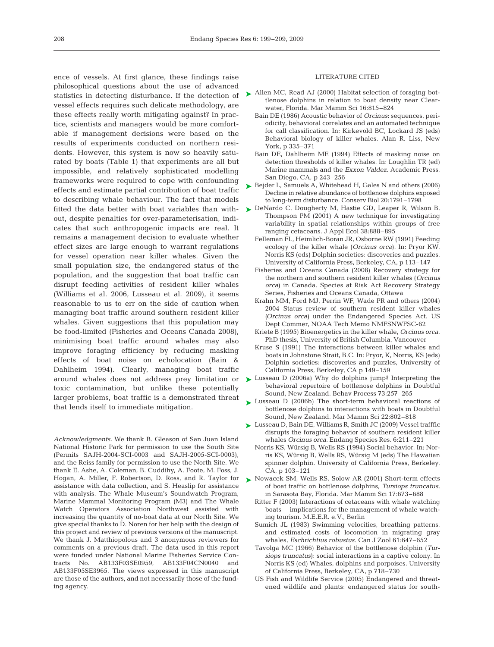ence of vessels. At first glance, these findings raise philosophical questions about the use of advanced statistics in detecting disturbance. If the detection of vessel effects requires such delicate methodology, are these effects really worth mitigating against? In practice, scientists and managers would be more comfortable if management decisions were based on the results of experiments conducted on northern residents. However, this system is now so heavily saturated by boats (Table 1) that experiments are all but impossible, and relatively sophisticated modelling frameworks were required to cope with confounding effects and estimate partial contribution of boat traffic to describing whale behaviour. The fact that models fitted the data better with boat variables than without, despite penalties for over-parameterisation, indicates that such anthropogenic impacts are real. It remains a management decision to evaluate whether effect sizes are large enough to warrant regulations for vessel operation near killer whales. Given the small population size, the endangered status of the population, and the suggestion that boat traffic can disrupt feeding activities of resident killer whales (Williams et al. 2006, Lusseau et al. 2009), it seems reasonable to us to err on the side of caution when managing boat traffic around southern resident killer whales. Given suggestions that this population may be food-limited (Fisheries and Oceans Canada 2008), minimising boat traffic around whales may also improve foraging efficiency by reducing masking effects of boat noise on echolocation (Bain & Dahlheim 1994). Clearly, managing boat traffic around whales does not address prey limitation or toxic contamination, but unlike these potentially larger problems, boat traffic is a demonstrated threat that lends itself to immediate mitigation.

*Acknowledgments.* We thank B. Gleason of San Juan Island National Historic Park for permission to use the South Site (Permits SAJH-2004-SCI-0003 and SAJH-2005-SCI-0003), and the Reiss family for permission to use the North Site. We thank E. Ashe, A. Coleman, B. Cuddihy, A. Foote, M. Foss, J. Hogan, A. Miller, F. Robertson, D. Ross, and R. Taylor for assistance with data collection, and S. Heaslip for assistance with analysis. The Whale Museum's Soundwatch Program, Marine Mammal Monitoring Program (M3) and The Whale Watch Operators Association Northwest assisted with increasing the quantity of no-boat data at our North Site. We give special thanks to D. Noren for her help with the design of this project and review of previous versions of the manuscript. We thank J. Matthiopolous and 3 anonymous reviewers for comments on a previous draft. The data used in this report were funded under National Marine Fisheries Service Contracts No. AB133F03SE0959, AB133F04CN0040 and AB133F05SE3965. The views expressed in this manuscript are those of the authors, and not necessarily those of the funding agency.

## LITERATURE CITED

- ► Allen MC, Read AJ (2000) Habitat selection of foraging bottlenose dolphins in relation to boat density near Clearwater, Florida. Mar Mamm Sci 16:815–824
	- Bain DE (1986) Acoustic behavior of *Orcinus*: sequences, periodicity, behavioral correlates and an automated technique for call classification. In: Kirkevold BC, Lockard JS (eds) Behavioral biology of killer whales. Alan R. Liss, New York, p 335–371
	- Bain DE, Dahlheim ME (1994) Effects of masking noise on detection thresholds of killer whales. In: Loughlin TR (ed) Marine mammals and the *Exxon Valdez.* Academic Press, San Diego, CA, p 243–256
- Bejder L, Samuels A, Whitehead H, Gales N and others (2006) Decline in relative abundance of bottlenose dolphins exposed to long-term disturbance. Conserv Biol 20:1791–1798 ➤
- ► DeNardo C, Dougherty M, Hastie GD, Leaper R, Wilson B, Thompson PM (2001) A new technique for investigating variability in spatial relationships within groups of free ranging cetaceans. J Appl Ecol 38:888–895
	- Felleman FL, Heimlich-Boran JR, Osborne RW (1991) Feeding ecology of the killer whale (*Orcinus orca*). In: Pryor KW, Norris KS (eds) Dolphin societies: discoveries and puzzles. University of California Press, Berkeley, CA, p 113–147
	- Fisheries and Oceans Canada (2008) Recovery strategy for the northern and southern resident killer whales (*Orcinus orca*) in Canada. Species at Risk Act Recovery Strategy Series, Fisheries and Oceans Canada, Ottawa
	- Krahn MM, Ford MJ, Perrin WF, Wade PR and others (2004) 2004 Status review of southern resident killer whales *(Orcinus orca)* under the Endangered Species Act. US Dept Commer, NOAA Tech Memo NMFSNWFSC-62
	- Kriete B (1995) Bioenergetics in the killer whale, *Orcinus orca*. PhD thesis, University of British Columbia, Vancouver
	- Kruse S (1991) The interactions between killer whales and boats in Johnstone Strait, B.C. In: Pryor, K, Norris, KS (eds) Dolphin societies: discoveries and puzzles, University of California Press, Berkeley, CA p 149–159
- ► Lusseau D (2006a) Why do dolphins jump? Interpreting the behavioral repertoire of bottlenose dolphins in Doubtful Sound, New Zealand. Behav Process 73:257–265
- ► Lusseau D (2006b) The short-term behavioral reactions of bottlenose dolphins to interactions with boats in Doubtful Sound, New Zealand. Mar Mamm Sci 22:802–818
- ► Lusseau D, Bain DE, Williams R, Smith JC (2009) Vessel trafffic disrupts the foraging behavior of southern resident killer whales *Orcinus orca*. Endang Species Res. 6:211–221
	- Norris KS, Würsig B, Wells RS (1994) Social behavior. In: Norris KS, Würsig B, Wells RS, Würsig M (eds) The Hawaiian spinner dolphin. University of California Press, Berkeley, CA, p 103–121
- ► Nowacek SM, Wells RS, Solow AR (2001) Short-term effects of boat traffic on bottlenose dolphins, *Tursiops truncatus*, in Sarasota Bay, Florida. Mar Mamm Sci 17:673–688
	- Ritter F (2003) Interactions of cetaceans with whale watching boats — implications for the management of whale watching tourism. M.E.E.R. e.V., Berlin
	- Sumich JL (1983) Swimming velocities, breathing patterns, and estimated costs of locomotion in migrating gray whales, *Eschrichtius robustus.* Can J Zool 61:647–652
	- Tavolga MC (1966) Behavior of the bottlenose dolphin (*Tursiops truncatus*): social interactions in a captive colony. In Norris KS (ed) Whales, dolphins and porpoises. University of California Press, Berkeley, CA, p 718–730
	- US Fish and Wildlife Service (2005) Endangered and threatened wildlife and plants: endangered status for south-